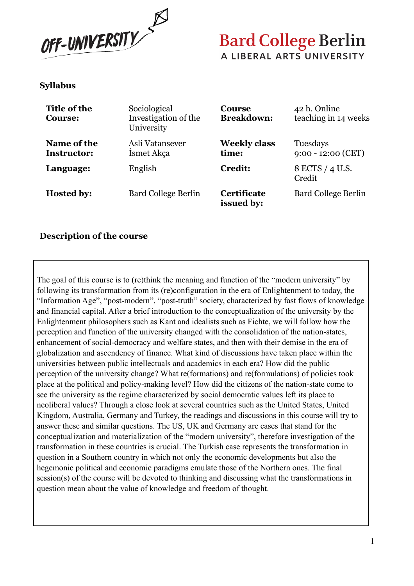

#### **Syllabus**

| Title of the<br><b>Course:</b>    | Sociological<br>Investigation of the<br>University | <b>Course</b><br><b>Breakdown:</b> | 42 h. Online<br>teaching in 14 weeks |
|-----------------------------------|----------------------------------------------------|------------------------------------|--------------------------------------|
| Name of the<br><b>Instructor:</b> | Asli Vatansever<br>Ismet Akça                      | <b>Weekly class</b><br>time:       | Tuesdays<br>$9:00 - 12:00$ (CET)     |
| Language:                         | English                                            | <b>Credit:</b>                     | 8 ECTS / 4 U.S.<br>Credit            |
| <b>Hosted by:</b>                 | <b>Bard College Berlin</b>                         | Certificate<br>issued by:          | <b>Bard College Berlin</b>           |

#### **Description of the course**

The goal of this course is to (re)think the meaning and function of the "modern university" by following its transformation from its (re)configuration in the era of Enlightenment to today, the "Information Age", "post-modern", "post-truth" society, characterized by fast flows of knowledge and financial capital. After a brief introduction to the conceptualization of the university by the Enlightenment philosophers such as Kant and idealists such as Fichte, we will follow how the perception and function of the university changed with the consolidation of the nation-states, enhancement of social-democracy and welfare states, and then with their demise in the era of globalization and ascendency of finance. What kind of discussions have taken place within the universities between public intellectuals and academics in each era? How did the public perception of the university change? What re(formations) and re(formulations) of policies took place at the political and policy-making level? How did the citizens of the nation-state come to see the university as the regime characterized by social democratic values left its place to neoliberal values? Through a close look at several countries such as the United States, United Kingdom, Australia, Germany and Turkey, the readings and discussions in this course will try to answer these and similar questions. The US, UK and Germany are cases that stand for the conceptualization and materialization of the "modern university", therefore investigation of the transformation in these countries is crucial. The Turkish case represents the transformation in question in a Southern country in which not only the economic developments but also the hegemonic political and economic paradigms emulate those of the Northern ones. The final session(s) of the course will be devoted to thinking and discussing what the transformations in question mean about the value of knowledge and freedom of thought.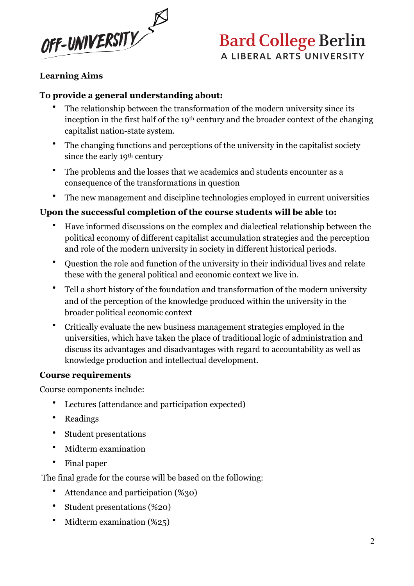

#### **Learning Aims**

#### **To provide a general understanding about:**

- The relationship between the transformation of the modern university since its inception in the first half of the 19th century and the broader context of the changing capitalist nation-state system.
- The changing functions and perceptions of the university in the capitalist society since the early 19th century
- The problems and the losses that we academics and students encounter as a consequence of the transformations in question
- The new management and discipline technologies employed in current universities

#### **Upon the successful completion of the course students will be able to:**

- Have informed discussions on the complex and dialectical relationship between the political economy of different capitalist accumulation strategies and the perception and role of the modern university in society in different historical periods.
- Question the role and function of the university in their individual lives and relate these with the general political and economic context we live in.
- Tell a short history of the foundation and transformation of the modern university and of the perception of the knowledge produced within the university in the broader political economic context
- Critically evaluate the new business management strategies employed in the universities, which have taken the place of traditional logic of administration and discuss its advantages and disadvantages with regard to accountability as well as knowledge production and intellectual development.

#### **Course requirements**

Course components include:

- Lectures (attendance and participation expected)
- Readings
- Student presentations
- Midterm examination
- Final paper

The final grade for the course will be based on the following:

- Attendance and participation (%30)
- Student presentations (%20)
- Midterm examination (%25)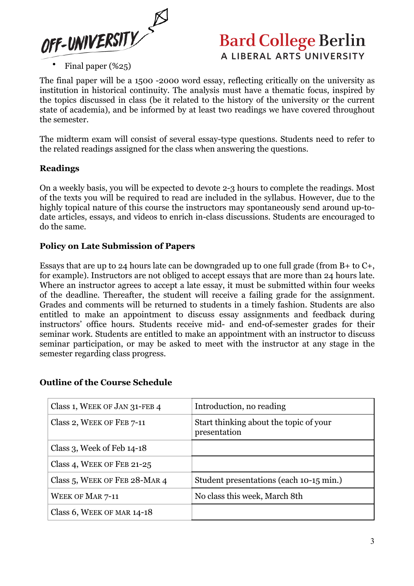

The final paper will be a 1500 -2000 word essay, reflecting critically on the university as institution in historical continuity. The analysis must have a thematic focus, inspired by the topics discussed in class (be it related to the history of the university or the current state of academia), and be informed by at least two readings we have covered throughout the semester.

The midterm exam will consist of several essay-type questions. Students need to refer to the related readings assigned for the class when answering the questions.

#### **Readings**

On a weekly basis, you will be expected to devote 2-3 hours to complete the readings. Most of the texts you will be required to read are included in the syllabus. However, due to the highly topical nature of this course the instructors may spontaneously send around up-todate articles, essays, and videos to enrich in-class discussions. Students are encouraged to do the same.

#### **Policy on Late Submission of Papers**

Essays that are up to 24 hours late can be downgraded up to one full grade (from B+ to C+, for example). Instructors are not obliged to accept essays that are more than 24 hours late. Where an instructor agrees to accept a late essay, it must be submitted within four weeks of the deadline. Thereafter, the student will receive a failing grade for the assignment. Grades and comments will be returned to students in a timely fashion. Students are also entitled to make an appointment to discuss essay assignments and feedback during instructors' office hours. Students receive mid- and end-of-semester grades for their seminar work. Students are entitled to make an appointment with an instructor to discuss seminar participation, or may be asked to meet with the instructor at any stage in the semester regarding class progress.

| Class 1, WEEK OF JAN 31-FEB 4    | Introduction, no reading                               |
|----------------------------------|--------------------------------------------------------|
| Class 2, WEEK OF FEB 7-11        | Start thinking about the topic of your<br>presentation |
| Class 3, Week of Feb $14-18$     |                                                        |
| Class 4, WEEK OF FEB 21-25       |                                                        |
| Class 5, WEEK OF FEB $28$ -MAR 4 | Student presentations (each 10-15 min.)                |
| <b>WEEK OF MAR 7-11</b>          | No class this week, March 8th                          |
| Class 6, WEEK OF MAR 14-18       |                                                        |

#### **Outline of the Course Schedule**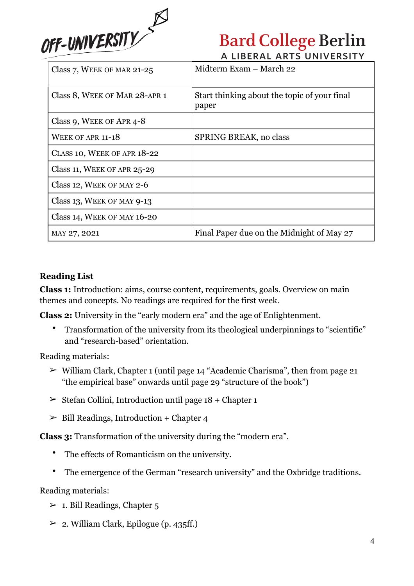

| Class 7, WEEK OF MAR 21-25     | Midterm Exam – March 22                               |
|--------------------------------|-------------------------------------------------------|
| Class 8, WEEK OF MAR 28-APR 1  | Start thinking about the topic of your final<br>paper |
| Class 9, WEEK OF APR 4-8       |                                                       |
| WEEK OF APR 11-18              | SPRING BREAK, no class                                |
| CLASS 10, WEEK OF APR 18-22    |                                                       |
| Class 11, WEEK OF APR $25-29$  |                                                       |
| Class 12, WEEK OF MAY 2-6      |                                                       |
| Class 13, WEEK OF MAY 9-13     |                                                       |
| Class 14, WEEK OF MAY $16$ -20 |                                                       |
| MAY 27, 2021                   | Final Paper due on the Midnight of May 27             |

#### **Reading List**

**Class 1:** Introduction: aims, course content, requirements, goals. Overview on main themes and concepts. No readings are required for the first week.

**Class 2:** University in the "early modern era" and the age of Enlightenment.

• Transformation of the university from its theological underpinnings to "scientific" and "research-based" orientation.

Reading materials:

- $\triangleright$  William Clark, Chapter 1 (until page 14 "Academic Charisma", then from page 21 "the empirical base" onwards until page 29 "structure of the book")
- $\geq$  Stefan Collini, Introduction until page 18 + Chapter 1
- $\geq$  Bill Readings, Introduction + Chapter 4

**Class 3:** Transformation of the university during the "modern era".

- The effects of Romanticism on the university.
- The emergence of the German "research university" and the Oxbridge traditions.

Reading materials:

- $\geq 1$ . Bill Readings, Chapter 5
- $\geq 2$ . William Clark, Epilogue (p. 435ff.)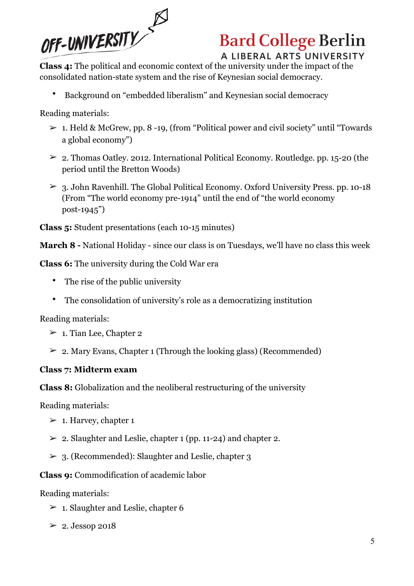

# **Bard College Berlin**

A LIBERAL ARTS UNIVERSITY

**Class 4:** The political and economic context of the university under the impact of the consolidated nation-state system and the rise of Keynesian social democracy.

• Background on "embedded liberalism" and Keynesian social democracy

Reading materials:

- $> 1$ . Held & McGrew, pp. 8 -19, (from "Political power and civil society" until "Towards") a global economy")
- $\geq$  2. Thomas Oatley. 2012. International Political Economy. Routledge. pp. 15-20 (the period until the Bretton Woods)
- $> 3.$  John Ravenhill. The Global Political Economy. Oxford University Press. pp. 10-18 (From "The world economy pre-1914" until the end of "the world economy post-1945")

**Class 5:** Student presentations (each 10-15 minutes)

**March 8 -** National Holiday - since our class is on Tuesdays, we'll have no class this week

**Class 6:** The university during the Cold War era

- The rise of the public university
- The consolidation of university's role as a democratizing institution

Reading materials:

- $\geq 1$ . Tian Lee, Chapter 2
- $\geq 2$ . Mary Evans, Chapter 1 (Through the looking glass) (Recommended)

### **Class 7: Midterm exam**

**Class 8:** Globalization and the neoliberal restructuring of the university

Reading materials:

- $\geq 1$ . Harvey, chapter 1
- $\geq 2$ . Slaughter and Leslie, chapter 1 (pp. 11-24) and chapter 2.
- $> 3$ . (Recommended): Slaughter and Leslie, chapter 3

**Class 9:** Commodification of academic labor

Reading materials:

- $\geq 1$ . Slaughter and Leslie, chapter 6
- $\geq 2$ . Jessop 2018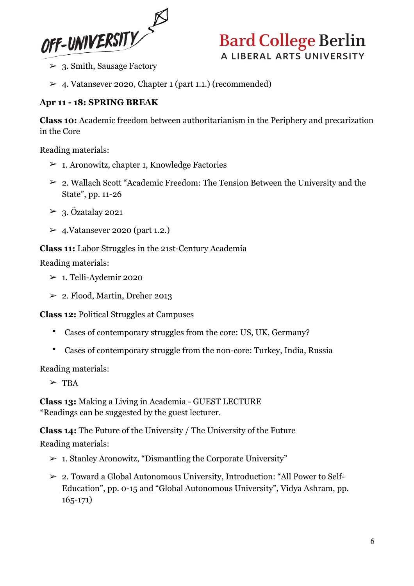

- ➢ 3. Smith, Sausage Factory
- $> 4$ . Vatansever 2020, Chapter 1 (part 1.1.) (recommended)

#### **Apr 11 - 18: SPRING BREAK**

**Class 10:** Academic freedom between authoritarianism in the Periphery and precarization in the Core

Reading materials:

- $\geq 1$ . Aronowitz, chapter 1, Knowledge Factories
- $\geq 2$ . Wallach Scott "Academic Freedom: The Tension Between the University and the State", pp. 11-26
- $\geq$  3. Özatalay 2021
- $\geq$  4. Vatansever 2020 (part 1.2.)

#### **Class 11:** Labor Struggles in the 21st-Century Academia

Reading materials:

- $> 1$ . Telli-Aydemir 2020
- $\geq$  2. Flood, Martin, Dreher 2013

**Class 12:** Political Struggles at Campuses

- Cases of contemporary struggles from the core: US, UK, Germany?
- Cases of contemporary struggle from the non-core: Turkey, India, Russia

Reading materials:

 $>$  TBA

**Class 13:** Making a Living in Academia - GUEST LECTURE \*Readings can be suggested by the guest lecturer.

**Class 14:** The Future of the University / The University of the Future Reading materials:

- $> 1.$  Stanley Aronowitz, "Dismantling the Corporate University"
- ➢ 2. Toward a Global Autonomous University, Introduction: "All Power to Self-Education", pp. 0-15 and "Global Autonomous University", Vidya Ashram, pp. 165-171)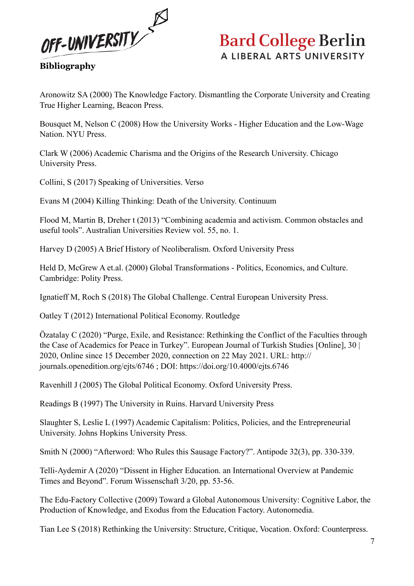

**Bibliography**

Aronowitz SA (2000) The Knowledge Factory. Dismantling the Corporate University and Creating True Higher Learning, Beacon Press.

Bousquet M, Nelson C (2008) How the University Works - Higher Education and the Low-Wage Nation. NYU Press.

Clark W (2006) Academic Charisma and the Origins of the Research University. Chicago University Press.

Collini, S (2017) Speaking of Universities. Verso

Evans M (2004) Killing Thinking: Death of the University. Continuum

Flood M, Martin B, Dreher t (2013) "Combining academia and activism. Common obstacles and useful tools". Australian Universities Review vol. 55, no. 1.

Harvey D (2005) A Brief History of Neoliberalism. Oxford University Press

Held D, McGrew A et.al. (2000) Global Transformations - Politics, Economics, and Culture. Cambridge: Polity Press.

Ignatieff M, Roch S (2018) The Global Challenge. Central European University Press.

Oatley T (2012) International Political Economy. Routledge

Özatalay C (2020) "Purge, Exile, and Resistance: Rethinking the Conflict of the Faculties through the Case of Academics for Peace in Turkey". European Journal of Turkish Studies [Online], 30 | 2020, Online since 15 December 2020, connection on 22 May 2021. URL: http:// journals.openedition.org/ejts/6746 ; DOI: https://doi.org/10.4000/ejts.6746

Ravenhill J (2005) The Global Political Economy. Oxford University Press.

Readings B (1997) The University in Ruins. Harvard University Press

Slaughter S, Leslie L (1997) Academic Capitalism: Politics, Policies, and the Entrepreneurial University. Johns Hopkins University Press.

Smith N (2000) "Afterword: Who Rules this Sausage Factory?". Antipode 32(3), pp. 330-339.

Telli-Aydemir A (2020) "Dissent in Higher Education. an International Overview at Pandemic Times and Beyond". Forum Wissenschaft 3/20, pp. 53-56.

The Edu-Factory Collective (2009) Toward a Global Autonomous University: Cognitive Labor, the Production of Knowledge, and Exodus from the Education Factory. Autonomedia.

Tian Lee S (2018) Rethinking the University: Structure, Critique, Vocation. Oxford: Counterpress.